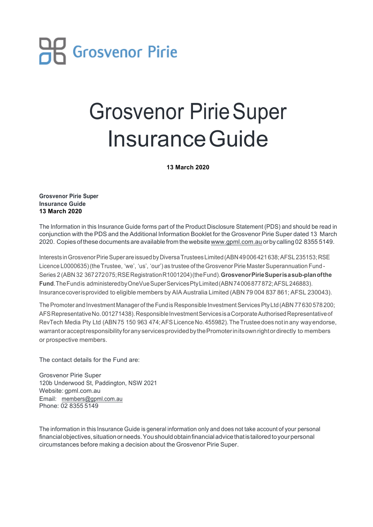

## Grosvenor PirieSuper InsuranceGuide

**13 March 2020**

**Grosvenor Pirie Super Insurance Guide 13 March 2020**

The Information in this Insurance Guide forms part of the Product Disclosure Statement (PDS) and should be read in conjunction with the PDS and the Additional Information Booklet for the Grosvenor Pirie Super dated 13 March 2020. Copies ofthesedocuments are availablefrom thewebsitewww.gpml.com.au orby calling 02 8355 5149.

Interests in Grosvenor Pirie Super are issued by Diversa Trustees Limited (ABN 49006 421 638; AFSL 235153; RSE Licence L0000635) (the Trustee, 'we', 'us', 'our') as trustee of the Grosvenor Pirie Master Superannuation Fund -Series 2 (ABN 32 367272075;RSERegistrationR1001204)(theFund).**GrosvenorPirieSuperisasub-planofthe** Fund. The Fund is administered by OneVue Super Services Pty Limited (ABN 74006877872; AFSL 246883). Insurancecoverisprovided to eligible members by AIA Australia Limited (ABN 79 004 837 861; AFSL 230043).

The Promoter and Investment Manager of the Fund is Responsible Investment Services Pty Ltd (ABN 77 630 578 200; AFS Representative No.001271438). Responsible Investment Services is a Corporate Authorised Representative of RevTech Media Pty Ltd (ABN 75 150 963 474; AFS Licence No. 455982). The Trustee does notin any way endorse, warrantoracceptresponsibility for any services provided by the Promoter in its own right or directly to members or prospective members.

The contact details for the Fund are:

Grosvenor Pirie Super 120b Underwood St, Paddington, NSW 2021 Website: gpml.com.au Email: members@gpml.com.au Phone: 02 8355 5149

The information in this Insurance Guide is general information only and does not take account of your personal financial objectives, situation or needs. You should obtain financial advice that is tailored to your personal circumstances before making a decision about the Grosvenor Pirie Super.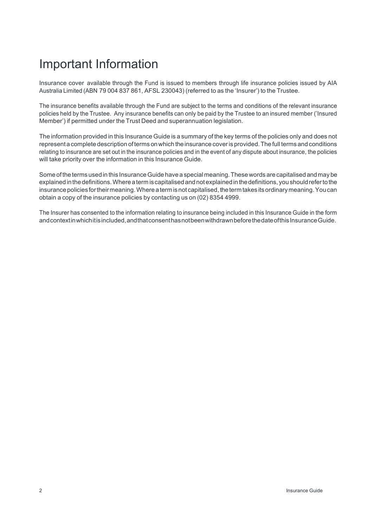## Important Information

Insurance cover available through the Fund is issued to members through life insurance policies issued by AIA Australia Limited (ABN 79 004 837 861, AFSL 230043) (referred to as the 'Insurer') to the Trustee.

The insurance benefits available through the Fund are subject to the terms and conditions of the relevant insurance policies held by the Trustee. Any insurance benefits can only be paid by the Trustee to an insured member ('Insured Member') if permitted under the Trust Deed and superannuation legislation.

The information provided in this Insurance Guide is a summary of the key terms of the policies only and does not representa complete description ofterms onwhich theinsurance coveris provided.The full terms and conditions relating to insurance are set out in the insurance policies and in the event of any dispute about insurance, the policies will take priority over the information in this Insurance Guide.

Some of the terms used in this Insurance Guide have a special meaning. These words are capitalised and may be explained in the definitions. Where a term is capitalised and not explained in the definitions, you should refer to the insurance policies for their meaning. Where a term is not capitalised, the term takes its ordinary meaning. You can obtain a copy of the insurance policies by contacting us on (02) 8354 4999.

The Insurer has consented to the information relating to insurance being included in this Insurance Guide in the form andcontextinwhichitisincluded,andthatconsenthasnotbeenwithdrawnbeforethedateofthisInsuranceGuide.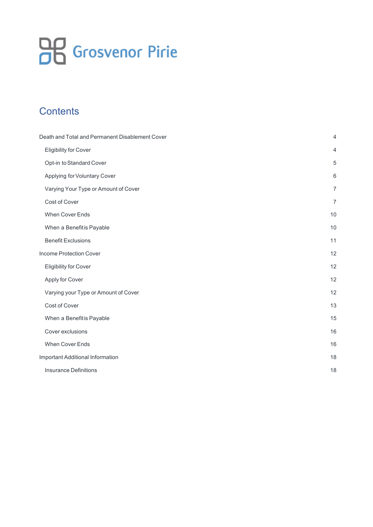# **OB** Grosvenor Pirie

## **Contents**

| Death and Total and Permanent Disablement Cover | $\overline{4}$ |
|-------------------------------------------------|----------------|
| <b>Eligibility for Cover</b>                    | $\overline{4}$ |
| Opt-in to Standard Cover                        | 5              |
| Applying for Voluntary Cover                    | 6              |
| Varying Your Type or Amount of Cover            | $\overline{7}$ |
| Cost of Cover                                   | $\overline{7}$ |
| When Cover Ends                                 | 10             |
| When a Benefitis Payable                        | 10             |
| <b>Benefit Exclusions</b>                       | 11             |
| Income Protection Cover                         | 12             |
| <b>Eligibility for Cover</b>                    | 12             |
| Apply for Cover                                 | 12             |
| Varying your Type or Amount of Cover            | 12             |
| Cost of Cover                                   | 13             |
| When a Benefitis Payable                        | 15             |
| Cover exclusions                                | 16             |
| When Cover Ends                                 | 16             |
| <b>Important Additional Information</b>         | 18             |
| <b>Insurance Definitions</b>                    | 18             |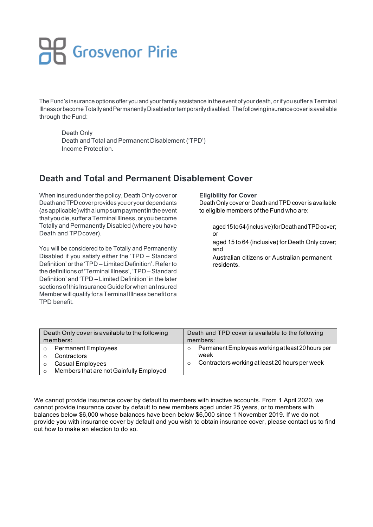# **OP** Grosvenor Pirie

The Fund's insurance options offer you and your family assistance in the event of your death, or if you suffer a Terminal Illness or become Totally and Permanently Disabled or temporarily disabled. The following insurance cover is available through the Fund:

 Death Only Death and Total and Permanent Disablement ('TPD') Income Protection.

## **Death and Total and Permanent Disablement Cover**

When insured under the policy, Death Only cover or Death and TPD cover provides you or your dependants (asapplicable)withalumpsumpaymentintheevent that youdie,sufferaTerminalIllness,oryoubecome Totally and Permanently Disabled (where you have Death and TPDcover).

You will be considered to be Totally and Permanently Disabled if you satisfy either the 'TPD – Standard Definition' or the 'TPD – Limited Definition'. Refer to the definitions of'Terminal Illness', 'TPD –Standard Definition' and 'TPD – Limited Definition' in the later sections of this Insurance Guide for when an Insured Member will qualify for a Terminal Illness benefit or a TPD benefit.

**Eligibility for Cover**

Death Only cover or Death and TPD cover is available to eligible members of the Fund who are:

 aged15to54(inclusive)forDeathandTPDcover; or

 aged 15 to 64 (inclusive) for Death Only cover; and

 Australian citizens or Australian permanent residents.

| Death Only cover is available to the following                                                                             | Death and TPD cover is available to the following                                                                      |
|----------------------------------------------------------------------------------------------------------------------------|------------------------------------------------------------------------------------------------------------------------|
| members:                                                                                                                   | members:                                                                                                               |
| <b>Permanent Employees</b><br>$\circ$<br>Contractors<br><b>Casual Employees</b><br>Members that are not Gainfully Employed | Permanent Employees working at least 20 hours per<br>week<br>Contractors working at least 20 hours per week<br>$\circ$ |

We cannot provide insurance cover by default to members with inactive accounts. From 1 April 2020, we cannot provide insurance cover by default to new members aged under 25 years, or to members with balances below \$6,000 whose balances have been below \$6,000 since 1 November 2019. If we do not provide you with insurance cover by default and you wish to obtain insurance cover, please contact us to find out how to make an election to do so.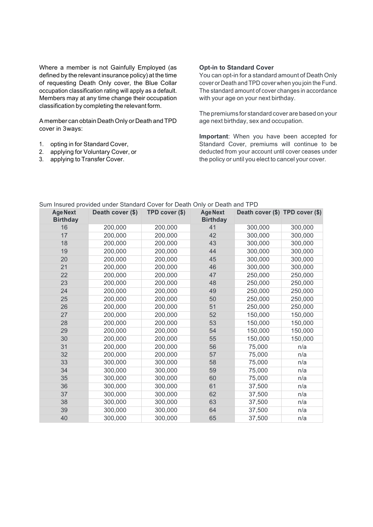Where a member is not Gainfully Employed (as defined by the relevant insurance policy) at the time of requesting Death Only cover, the Blue Collar occupation classification rating will apply as a default. Members may at any time change their occupation classification by completing the relevant form.

A member can obtain Death Only or Death and TPD cover in 3ways:

- 1. opting in for Standard Cover,
- 2. applying for Voluntary Cover, or
- 3. applying to Transfer Cover.

## **Opt-in to Standard Cover**

You can opt-in for a standard amount of Death Only cover or Death and TPD cover when you join the Fund. The standard amount of cover changes in accordance with your age on your next birthday.

The premiums for standard cover are based on your age next birthday, sex and occupation.

**Important**: When you have been accepted for Standard Cover, premiums will continue to be deducted from your account until cover ceases under the policy or until you elect to cancel your cover.

| <b>Age Next</b><br><b>Birthday</b> | Death cover (\$) | TPD cover (\$) | <b>Age Next</b><br><b>Birthday</b> | Death cover (\$) TPD cover (\$) |         |
|------------------------------------|------------------|----------------|------------------------------------|---------------------------------|---------|
| 16                                 | 200,000          | 200,000        | 41                                 | 300,000                         | 300,000 |
| 17                                 | 200,000          | 200,000        | 42                                 | 300,000                         | 300,000 |
| 18                                 | 200,000          | 200,000        | 43                                 | 300,000                         | 300,000 |
| 19                                 | 200,000          | 200,000        | 44                                 | 300,000                         | 300,000 |
| 20                                 | 200,000          | 200,000        | 45                                 | 300,000                         | 300,000 |
| 21                                 | 200,000          | 200,000        | 46                                 | 300,000                         | 300,000 |
| 22                                 | 200,000          | 200,000        | 47                                 | 250,000                         | 250,000 |
| 23                                 | 200,000          | 200,000        | 48                                 | 250,000                         | 250,000 |
| 24                                 | 200,000          | 200,000        | 49                                 | 250,000                         | 250,000 |
| 25                                 | 200,000          | 200,000        | 50                                 | 250,000                         | 250,000 |
| 26                                 | 200,000          | 200,000        | 51                                 | 250,000                         | 250,000 |
| 27                                 | 200,000          | 200,000        | 52                                 | 150,000                         | 150,000 |
| 28                                 | 200,000          | 200,000        | 53                                 | 150,000                         | 150,000 |
| 29                                 | 200,000          | 200,000        | 54                                 | 150,000                         | 150,000 |
| 30                                 | 200,000          | 200,000        | 55                                 | 150,000                         | 150,000 |
| 31                                 | 200,000          | 200,000        | 56                                 | 75,000                          | n/a     |
| 32                                 | 200,000          | 200,000        | 57                                 | 75,000                          | n/a     |
| 33                                 | 300,000          | 300,000        | 58                                 | 75,000                          | n/a     |
| 34                                 | 300,000          | 300,000        | 59                                 | 75,000                          | n/a     |
| 35                                 | 300,000          | 300,000        | 60                                 | 75,000                          | n/a     |
| 36                                 | 300,000          | 300,000        | 61                                 | 37,500                          | n/a     |
| 37                                 | 300,000          | 300,000        | 62                                 | 37,500                          | n/a     |
| 38                                 | 300,000          | 300,000        | 63                                 | 37,500                          | n/a     |
| 39                                 | 300,000          | 300,000        | 64                                 | 37,500                          | n/a     |
| 40                                 | 300,000          | 300,000        | 65                                 | 37,500                          | n/a     |

## Sum Insured provided under Standard Cover for Death Only or Death and TPD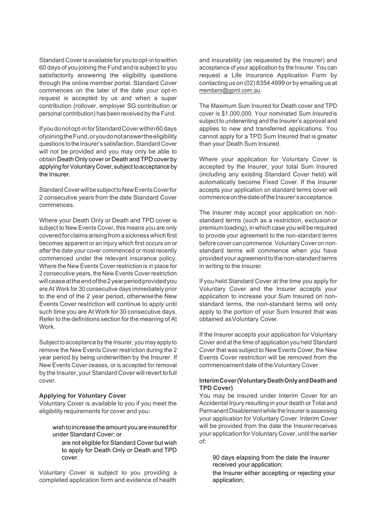Standard Cover is available for you to opt-in to within 60 days of you joining the Fund and is subject to you satisfactorily answering the eligibility questions through the online member portal. Standard Cover commences on the later of the date your opt-in request is accepted by us and when a super contribution (rollover, employer SG contribution or personal contribution) has been received by the Fund.

Ifyoudonotopt-inforStandardCoverwithin60days ofjoiningtheFund,oryoudonotanswertheeligibility questions to the Insurer's satisfaction,Standard Cover will not be provided and you may only be able to obtain Death Only cover or Death and TPD cover by applying for Voluntary Cover, subject to acceptance by the Insurer.

Standard Cover will be subject to New Events Cover for 2 consecutive years from the date Standard Cover commences.

Where your Death Only or Death and TPD cover is subject to New Events Cover, this means you are only coveredfor claimsarisingfrom asicknesswhichfirst becomes apparent or an injury which first occurs on or after the date your cover commenced or most recently commenced under the relevant insurance policy. Where the New Events Cover restriction is in place for 2 consecutive years, the New Events Cover restriction willceaseattheendofthe2yearperiodprovidedyou are At Work for 30 consecutive days immediately prior to the end of the 2 year period, otherwisethe New Events Cover restriction will continue to apply until such time you are At Work for 30 consecutive days. Refer to the definitions section for the meaning of At Work.

Subject to acceptance by the Insurer, you may apply to remove the New Events Cover restriction during the 2 year period by being underwritten by the Insurer. If New Events Cover ceases, or is accepted for removal by the Insurer, your Standard Cover will revert to full cover.

## **Applying for Voluntary Cover**

Voluntary Cover is available to you if you meet the eligibility requirements for cover and you:

wish to increase the amount you are insured for under Standard Cover; or

 are not eligible for Standard Cover but wish to apply for Death Only or Death and TPD cover.

Voluntary Cover is subject to you providing a completed application form and evidence of health

and insurability (as requested by the Insurer) and acceptance of your application by the Insurer. You can request a Life Insurance Application Form by contacting us on (02) 8354 4999 or by emailing us at members@gpml.com.au.

The Maximum Sum Insured for Death cover and TPD cover is \$1,000,000. Your nominated Sum Insuredis subject to underwriting and the Insurer's approval and applies to new and transferred applications. You cannot apply for a TPD Sum Insured that is greater than your Death Sum Insured.

Where your application for Voluntary Cover is accepted by the Insurer, your total Sum Insured (including any existing Standard Cover held) will automatically become Fixed Cover. If the Insurer accepts your application on standard terms cover will commence on the date of the Insurer's acceptance.

The Insurer may accept your application on nonstandard terms (such as a restriction, exclusion or premium loading), in which case you will be required to provide your agreement to the non-standard terms before cover can commence. Voluntary Cover on nonstandard terms will commence when you have provided your agreement to the non-standard terms in writing to the Insurer.

If you held Standard Cover at the time you apply for Voluntary Cover and the Insurer accepts your application to increase your Sum Insured on nonstandard terms, the non-standard terms will only apply to the portion of your Sum Insured that was obtained asVoluntary Cover.

If the Insurer accepts your application for Voluntary Cover and at the time of application you held Standard Cover that was subject to New Events Cover, the New Events Cover restriction will be removed from the commencement date of the Voluntary Cover.

## **InterimCover(VoluntaryDeathOnlyandDeathand TPD Cover)**

You may be insured under Interim Cover for an Accidental Injury resulting in your death orTotal and Permanent Disablement while the Insurer is assessing your application for Voluntary Cover. Interim Cover will be provided from the date the Insurerreceives your application for Voluntary Cover, until the earlier of:

 90 days elapsing from the date the Insurer received your application;

 the Insurer either accepting or rejecting your application;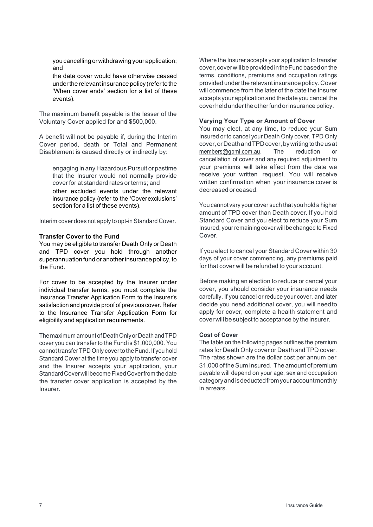youcancelling orwithdrawing yourapplication; and

 the date cover would have otherwise ceased undertherelevantinsurance policy (referto the 'When cover ends' section for a list of these events).

The maximum benefit payable is the lesser of the Voluntary Cover applied for and \$500,000.

A benefit will not be payable if, during the Interim Cover period, death or Total and Permanent Disablement is caused directly or indirectly by:

 engaging in any Hazardous Pursuit or pastime that the Insurer would not normally provide cover for at standard rates or terms; and other excluded events under the relevant insurance policy (refer to the 'Coverexclusions' section for a list of these events).

Interim cover does not apply to opt-in Standard Cover.

#### **Transfer Cover to the Fund**

You may be eligible to transfer Death Only or Death and TPD cover you hold through another superannuation fund or anotherinsurance policy, to the Fund.

For cover to be accepted by the Insurer under individual transfer terms, you must complete the Insurance Transfer Application Form to the Insurer's satisfaction and provide proof of previous cover. Refer to the Insurance Transfer Application Form for eligibility and application requirements.

Themaximum amount ofDeathOnlyorDeathandTPD cover you can transfer to the Fund is \$1,000,000. You cannot transfer TPD Only coverto theFund. If you hold Standard Cover at the time you apply to transfer cover and the Insurer accepts your application, your StandardCoverwill become FixedCoverfrom the date the transfer cover application is accepted by the Insurer.

Where the Insurer accepts your application to transfer cover,coverwillbeprovidedintheFundbasedonthe terms, conditions, premiums and occupation ratings provided underthe relevantinsurance policy.Cover will commence from the later of the date the Insurer accepts yourapplicationand thedateyoucancelthe cover held under the other fund or insurance policy.

#### **Varying Your Type or Amount of Cover**

You may elect, at any time, to reduce your Sum Insured or to cancel your Death Only cover, TPD Only cover,orDeathandTPDcover,bywritingtotheusat members@gpml.com.au. The reduction or cancellation of cover and any required adjustment to your premiums will take effect from the date we receive your written request. You will receive written confirmation when your insurance cover is decreased or ceased.

You cannot vary your cover such that you hold a higher amount of TPD cover than Death cover. If you hold Standard Cover and you elect to reduce your Sum Insured, your remaining cover will be changed to Fixed Cover.

If you elect to cancel your Standard Cover within 30 days of your cover commencing, any premiums paid for that cover will be refunded to your account.

Before making an election to reduce or cancel your cover, you should consider your insurance needs carefully. If you cancel or reduce your cover, and later decide you need additional cover, you will needto apply for cover, complete a health statement and cover will be subject to acceptance by the Insurer.

#### **Cost of Cover**

The table on the following pages outlines the premium rates for Death Only cover or Death and TPD cover. The rates shown are the dollar cost per annum per \$1,000 of the Sum Insured. The amount of premium payable will depend on your age, sex and occupation categoryandisdeductedfromyouraccountmonthly in arrears.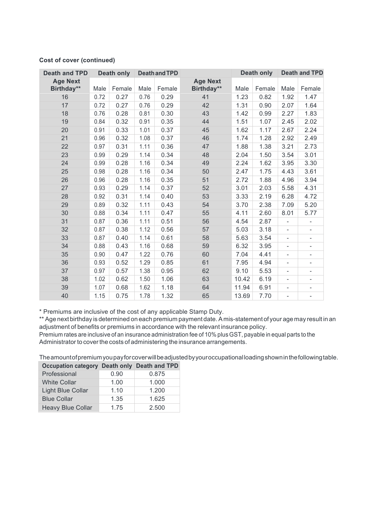| <b>Death and TPD</b>          | <b>Death only</b> |        | <b>Death and TPD</b> |        |                               |       | <b>Death only</b> |                          | <b>Death and TPD</b>     |
|-------------------------------|-------------------|--------|----------------------|--------|-------------------------------|-------|-------------------|--------------------------|--------------------------|
| <b>Age Next</b><br>Birthday** | Male              | Female | Male                 | Female | <b>Age Next</b><br>Birthday** | Male  | Female            | Male                     | Female                   |
| 16                            | 0.72              | 0.27   | 0.76                 | 0.29   | 41                            | 1.23  | 0.82              | 1.92                     | 1.47                     |
| 17                            | 0.72              | 0.27   | 0.76                 | 0.29   | 42                            | 1.31  | 0.90              | 2.07                     | 1.64                     |
| 18                            | 0.76              | 0.28   | 0.81                 | 0.30   | 43                            | 1.42  | 0.99              | 2.27                     | 1.83                     |
| 19                            | 0.84              | 0.32   | 0.91                 | 0.35   | 44                            | 1.51  | 1.07              | 2.45                     | 2.02                     |
| 20                            | 0.91              | 0.33   | 1.01                 | 0.37   | 45                            | 1.62  | 1.17              | 2.67                     | 2.24                     |
| 21                            | 0.96              | 0.32   | 1.08                 | 0.37   | 46                            | 1.74  | 1.28              | 2.92                     | 2.49                     |
| 22                            | 0.97              | 0.31   | 1.11                 | 0.36   | 47                            | 1.88  | 1.38              | 3.21                     | 2.73                     |
| 23                            | 0.99              | 0.29   | 1.14                 | 0.34   | 48                            | 2.04  | 1.50              | 3.54                     | 3.01                     |
| 24                            | 0.99              | 0.28   | 1.16                 | 0.34   | 49                            | 2.24  | 1.62              | 3.95                     | 3.30                     |
| 25                            | 0.98              | 0.28   | 1.16                 | 0.34   | 50                            | 2.47  | 1.75              | 4.43                     | 3.61                     |
| 26                            | 0.96              | 0.28   | 1.16                 | 0.35   | 51                            | 2.72  | 1.88              | 4.96                     | 3.94                     |
| 27                            | 0.93              | 0.29   | 1.14                 | 0.37   | 52                            | 3.01  | 2.03              | 5.58                     | 4.31                     |
| 28                            | 0.92              | 0.31   | 1.14                 | 0.40   | 53                            | 3.33  | 2.19              | 6.28                     | 4.72                     |
| 29                            | 0.89              | 0.32   | 1.11                 | 0.43   | 54                            | 3.70  | 2.38              | 7.09                     | 5.20                     |
| 30                            | 0.88              | 0.34   | 1.11                 | 0.47   | 55                            | 4.11  | 2.60              | 8.01                     | 5.77                     |
| 31                            | 0.87              | 0.36   | 1.11                 | 0.51   | 56                            | 4.54  | 2.87              | $\overline{\phantom{a}}$ | $\overline{\phantom{0}}$ |
| 32                            | 0.87              | 0.38   | 1.12                 | 0.56   | 57                            | 5.03  | 3.18              | ÷,                       | $\overline{\phantom{0}}$ |
| 33                            | 0.87              | 0.40   | 1.14                 | 0.61   | 58                            | 5.63  | 3.54              | $\frac{1}{2}$            | $\frac{1}{2}$            |
| 34                            | 0.88              | 0.43   | 1.16                 | 0.68   | 59                            | 6.32  | 3.95              | $\overline{\phantom{0}}$ | $\overline{\phantom{0}}$ |
| 35                            | 0.90              | 0.47   | 1.22                 | 0.76   | 60                            | 7.04  | 4.41              | $\frac{1}{2}$            | $\overline{\phantom{0}}$ |
| 36                            | 0.93              | 0.52   | 1.29                 | 0.85   | 61                            | 7.95  | 4.94              | $\overline{\phantom{0}}$ | $\overline{\phantom{0}}$ |
| 37                            | 0.97              | 0.57   | 1.38                 | 0.95   | 62                            | 9.10  | 5.53              | $\overline{\phantom{a}}$ | $\frac{1}{2}$            |
| 38                            | 1.02              | 0.62   | 1.50                 | 1.06   | 63                            | 10.42 | 6.19              | $\overline{\phantom{a}}$ | ÷,                       |
| 39                            | 1.07              | 0.68   | 1.62                 | 1.18   | 64                            | 11.94 | 6.91              | $\overline{\phantom{0}}$ | $\overline{\phantom{0}}$ |
| 40                            | 1.15              | 0.75   | 1.78                 | 1.32   | 65                            | 13.69 | 7.70              | ÷,                       | ÷,                       |

## **Cost of cover (continued)**

\* Premiums are inclusive of the cost of any applicable Stamp Duty.

\*\* Age next birthday is determined on each premium payment date.A mis-statement of your age may result in an adjustment of benefits or premiums in accordance with the relevant insurance policy.

Premium rates are inclusive of an insurance administration fee of 10% plus GST, payable in equal parts to the Administrator to cover the costs of administering the insurance arrangements.

Theamountofpremiumyoupayforcoverwillbeadjustedbyyouroccupationalloadingshowninthefollowingtable.

| Occupation category Death only Death and TPD |      |       |
|----------------------------------------------|------|-------|
| Professional                                 | 0.90 | 0.875 |
| <b>White Collar</b>                          | 1.00 | 1.000 |
| Light Blue Collar                            | 1.10 | 1.200 |
| <b>Blue Collar</b>                           | 1.35 | 1.625 |
| <b>Heavy Blue Collar</b>                     | 1.75 | 2.500 |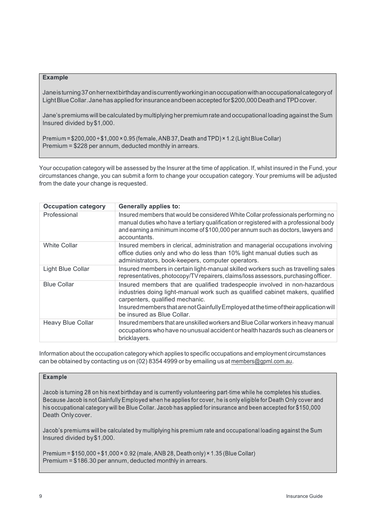## **Example**

Janeisturning37onhernextbirthdayandiscurrentlyworkinginanoccupationwithanoccupationalcategoryof Light Blue Collar. Jane has applied for insurance and been accepted for \$200,000 Death and TPD cover.

Jane'spremiumswill becalculated bymultiplying her premiumrate and occupational loading against the Sum Insured divided by\$1,000.

Premium =  $$200,000 \div $1,000 \times 0.95$  (female, ANB 37, Death and TPD)  $\times 1.2$  (Light Blue Collar) Premium = \$228 per annum, deducted monthly in arrears.

Your occupation category will be assessed by the Insurer at the time of application. If, whilst insured in the Fund, your circumstances change, you can submit a form to change your occupation category. Your premiums will be adjusted from the date your change is requested.

| <b>Occupation category</b> | <b>Generally applies to:</b>                                                                                                                                                                                                                                                                                          |
|----------------------------|-----------------------------------------------------------------------------------------------------------------------------------------------------------------------------------------------------------------------------------------------------------------------------------------------------------------------|
| Professional               | Insured members that would be considered White Collar professionals performing no<br>manual duties who have a tertiary qualification or registered with a professional body<br>and earning a minimum income of \$100,000 per annum such as doctors, lawyers and<br>accountants.                                       |
| <b>White Collar</b>        | Insured members in clerical, administration and managerial occupations involving<br>office duties only and who do less than 10% light manual duties such as<br>administrators, book-keepers, computer operators.                                                                                                      |
| Light Blue Collar          | Insured members in certain light-manual skilled workers such as travelling sales<br>representatives, photocopy/TV repairers, claims/loss assessors, purchasing officer.                                                                                                                                               |
| <b>Blue Collar</b>         | Insured members that are qualified tradespeople involved in non-hazardous<br>industries doing light-manual work such as qualified cabinet makers, qualified<br>carpenters, qualified mechanic.<br>Insured members that are not Gainfully Employed at the time of their application will<br>be insured as Blue Collar. |
| Heavy Blue Collar          | Insured members that are unskilled workers and Blue Collar workers in heavy manual<br>occupations who have no unusual accident or health hazards such as cleaners or<br>bricklayers.                                                                                                                                  |

Information about the occupation category which applies to specific occupations and employment circumstances can be obtained by contacting us on (02) 8354 4999 or by emailing us at members@gpml.com.au.

## **Example**

Jacob is turning 28 on his next birthday and is currently volunteering part-time while he completes his studies. Because Jacob is not Gainfully Employed when he applies for cover, he is only eligible for Death Only cover and his occupational category will be Blue Collar. Jacob has applied for insurance and been accepted for \$150,000 Death Only cover.

Jacob's premiums will be calculated by multiplying his premium rate and occupational loading against the Sum Insured divided by\$1,000.

Premium =  $$150,000 \div $1,000 \times 0.92$  (male, ANB 28, Death only) × 1.35 (Blue Collar) Premium = \$186.30 per annum, deducted monthly in arrears.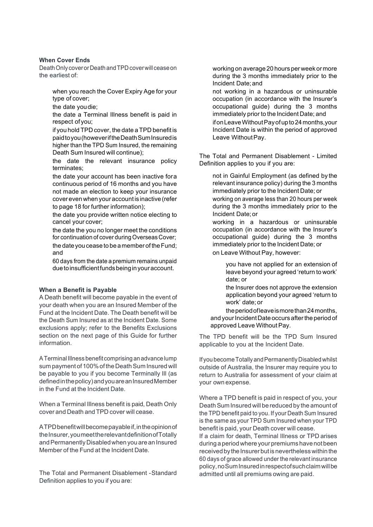## **When Cover Ends**

Death Only cover or Death and TPD cover will cease on the earliest of:

 when you reach the Cover Expiry Age for your type of cover;

the date youdie;

 the date a Terminal Illness benefit is paid in respect of you;

 if you hold TPD cover, the date a TPD benefit is paidtoyou(howeveriftheDeathSumInsuredis higher than the TPD Sum Insured, the remaining Death Sum Insured will continue);

 the date the relevant insurance policy terminates;

 the date your account has been inactive fora continuous period of 16 months and you have not made an election to keep your insurance coverevenwhenyour account is inactive(refer to page 18 for further information);

 the date you provide written notice electing to cancel your cover;

 the date the you no longer meet the conditions for continuation of cover during Overseas Cover; the date you cease to be a member of the Fund; and

 60 days from the date a premium remains unpaid due to insufficient funds being in your account.

### **When a Benefit is Payable**

A Death benefit will become payable in the event of your death when you are an Insured Member of the Fund at the Incident Date. The Death benefit will be the Death Sum Insured as at the Incident Date. Some exclusions apply; refer to the Benefits Exclusions section on the next page of this Guide for further information.

A Terminal Illness benefit comprising an advance lump sum payment of 100% of the Death Sum Insured will be payable to you if you become Terminally Ill (as defined in the policy) and you are an Insured Member in the Fund at the Incident Date.

When a Terminal Illness benefit is paid, Death Only cover and Death andTPD cover will cease.

ATPDbenefitwillbecomepayableif,intheopinionof the Insurer, you meet the relevant definition of Totally andPermanentlyDisabledwhen you are an Insured Member of the Fund at the Incident Date.

The Total and Permanent Disablement -Standard Definition applies to you if you are:

 working on average 20 hours per week or more during the 3 months immediately prior to the Incident Date;and

 not working in a hazardous or uninsurable occupation (in accordance with the Insurer's occupational guide) during the 3 months immediately prior to the Incident Date; and ifonLeaveWithoutPayofupto24months,your Incident Date is within the period of approved Leave Without Pay.

The Total and Permanent Disablement - Limited Definition applies to you if you are:

 not in Gainful Employment (as defined by the relevant insurance policy) during the 3 months immediately prior to the Incident Date; or working on average less than 20 hours per week during the 3 months immediately prior to the

Incident Date;or

 working in a hazardous or uninsurable occupation (in accordance with the Insurer's occupational guide) during the 3 months immediately prior to the Incident Date; or on Leave Without Pay, however:

> you have not applied for an extension of leave beyond your agreed 'return to work' date; or

> the Insurer does not approve the extension application beyond your agreed 'return to work' date; or

 theperiodofleaveismorethan24months, and your Incident Date occurs after the period of approved Leave Without Pay.

The TPD benefit will be the TPD Sum Insured applicable to you at the Incident Date.

If youbecomeTotallyandPermanentlyDisabledwhilst outside of Australia, the Insurer may require you to return to Australia for assessment of your claim at your own expense.

Where a TPD benefit is paid in respect of you, your Death Sum Insured will be reduced by the amount of the TPD benefit paid to you. If your Death Sum Insured is the same as your TPD Sum Insured when your TPD benefit is paid, your Death cover will cease.

If a claim for death, Terminal Illness or TPD arises during a period where your premiums have not been received by the Insurer but is nevertheless within the 60 days of grace allowed under the relevant insurance policy,noSumInsuredinrespectofsuchclaimwillbe admitted until all premiums owing are paid.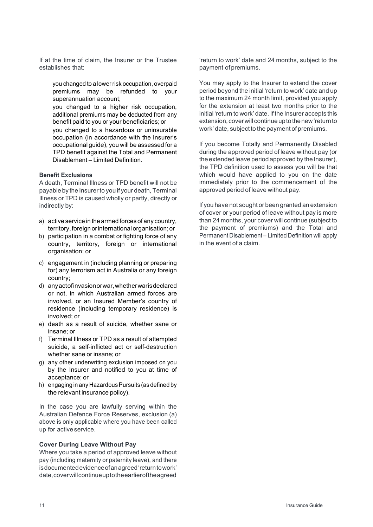If at the time of claim, the Insurer or the Trustee establishes that:

 you changed to a lower risk occupation, overpaid premiums may be refunded to your superannuation account;

 you changed to a higher risk occupation, additional premiums may be deducted from any benefit paid to you or your beneficiaries; or

 you changed to a hazardous or uninsurable occupation (in accordance with the Insurer's occupational guide), you will be assessed for a TPD benefit against the Total and Permanent Disablement – Limited Definition.

## **Benefit Exclusions**

A death, Terminal Illness or TPD benefit will not be payable by the Insurer to you if your death, Terminal Illness or TPD is caused wholly or partly, directly or indirectly by:

- a) active service in the armed forces of any country, territory,foreignorinternationalorganisation;or
- b) participation in a combat or fighting force of any country, territory, foreign or international organisation; or
- c) engagement in (including planning or preparing for) any terrorism act in Australia or any foreign country;
- d) anyactofinvasionorwar,whetherwarisdeclared or not, in which Australian armed forces are involved, or an Insured Member's country of residence (including temporary residence) is involved; or
- e) death as a result of suicide, whether sane or insane; or
- f) Terminal Illness or TPD as a result of attempted suicide, a self-inflicted act or self-destruction whether sane or insane; or
- g) any other underwriting exclusion imposed on you by the Insurer and notified to you at time of acceptance; or
- h) engaging in any Hazardous Pursuits (as defined by the relevant insurance policy).

In the case you are lawfully serving within the Australian Defence Force Reserves, exclusion (a) above is only applicable where you have been called up for active service.

## **Cover During Leave Without Pay**

Where you take a period of approved leave without pay (including maternity or paternity leave), and there isdocumentedevidenceofanagreed'returntowork' date,coverwillcontinueuptotheearlieroftheagreed

'return to work' date and 24 months, subject to the payment of premiums.

You may apply to the Insurer to extend the cover period beyond the initial 'return to work' date and up to the maximum 24 month limit, provided you apply for the extension at least two months prior to the initial 'return to work' date. If the Insurer accepts this extension, cover will continue up to the new 'return to work' date, subject to the payment of premiums.

If you become Totally and Permanently Disabled during the approved period of leave without pay (or the extended leave period approved by the Insurer), the TPD definition used to assess you will be that which would have applied to you on the date immediately prior to the commencement of the approved period of leave without pay.

If you have not sought or been granted an extension of cover or your period of leave without pay is more than 24 months, your cover will continue (subject to the payment of premiums) and the Total and Permanent Disablement – Limited Definition will apply in the event of a claim.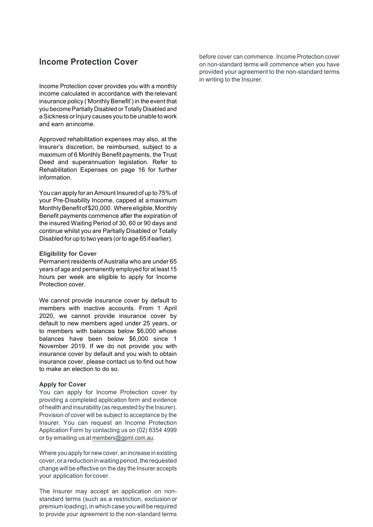## **Income Protection Cover**

Income Protection cover provides you with a monthly income calculated in accordance with the relevant insurance policy ('Monthly Benefit') in the event that you become Partially Disabled or Totally Disabled and aSickness orInjury causes you to be unable to work and earn anincome.

Approved rehabilitation expenses may also, at the Insurer's discretion, be reimbursed, subject to a maximum of 6 Monthly Benefit payments, the Trust Deed and superannuation legislation. Refer to Rehabilitation Expenses on page 16 for further information.

You can apply for anAmount Insured of up to 75% of your Pre-Disability Income, capped at a maximum Monthly Benefit of \$20,000. Where eligible, Monthly Benefit payments commence after the expiration of the insured Waiting Period of 30, 60 or 90 days and continue whilst you are Partially Disabled or Totally Disabled for up to two years (orto age 65 if earlier).

### **Eligibility for Cover**

Permanent residents of Australia who are under 65 years of age and permanently employed for at least 15 hours per week are eligible to apply for Income Protection cover.

We cannot provide insurance cover by default to members with inactive accounts. From 1 April 2020, we cannot provide insurance cover by default to new members aged under 25 years, or to members with balances below \$6,000 whose balances have been below \$6,000 since 1 November 2019. If we do not provide you with insurance cover by default and you wish to obtain insurance cover, please contact us to find out how to make an election to do so.

#### **Apply for Cover**

You can apply for Income Protection cover by providing a completed application form and evidence of health and insurability (as requested by the Insurer). Provision of cover will be subject to acceptance by the Insurer. You can request an Income Protection Application Form by contacting us on (02) 8354 4999 or by emailing us at members@gpml.com.au.

Where you apply for new cover, an increase in existing cover, or a reduction in waiting period, the requested change will be effective on the day the Insurer accepts your application forcover.

The Insurer may accept an application on nonstandard terms (such as a restriction, exclusion or premium loading), in which case you will be required to provide your agreement to the non-standard terms

before cover can commence. Income Protection cover on non-standard terms will commence when you have provided your agreement to the non-standard terms in writing to the Insurer.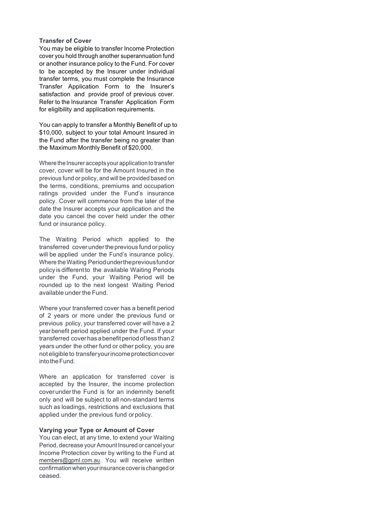### **Transfer of Cover**

You may be eligible to transfer Income Protection cover you hold through another superannuation fund or another insurance policy to the Fund. For cover to be accepted by the Insurer under individual transfer terms, you must complete the Insurance Transfer Application Form to the Insurer's satisfaction and provide proof of previous cover. Refer to the Insurance Transfer Application Form for eligibility and application requirements.

You can apply to transfer a Monthly Benefit of up to \$10,000, subject to your total Amount Insured in the Fund after the transfer being no greater than the Maximum Monthly Benefit of \$20,000.

Where the Insurer accepts your application to transfer cover, cover will be for the Amount Insured in the previous fund or policy, and will be provided based on the terms, conditions, premiums and occupation ratings provided under the Fund's insurance policy. Cover will commence from the later of the date the Insurer accepts your application and the date you cancel the cover held under the other fund or insurance policy.

The Waiting Period which applied to the transferred coverundertheprevious fund orpolicy will be applied under the Fund's insurance policy. Where the Waiting Periodunderthepreviousfundor policy is different to the available Waiting Periods under the Fund, your Waiting Period will be rounded up to the next longest Waiting Period available under the Fund.

Where your transferred cover has a benefit period of 2 years or more under the previous fund or previous policy, your transferred cover will have a 2 year benefit period applied under the Fund. If your transferred coverhasabenefitperiodofless than2 years under the other fund or other policy, you are not eligible to transferyourincomeprotectioncover intotheFund.

Where an application for transferred cover is accepted by the Insurer, the income protection coverunderthe Fund is for an indemnity benefit only and will be subject to all non-standard terms such as loadings, restrictions and exclusions that applied under the previous fund orpolicy.

## **Varying your Type or Amount of Cover**

You can elect, at any time, to extend your Waiting Period, decrease your Amount Insured or cancel your Income Protection cover by writing to the Fund at members@gpml.com.au. You will receive written confirmationwhenyourinsurancecoverischanged or ceased.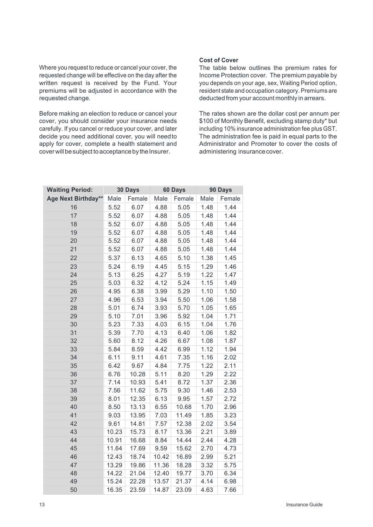Where you request to reduce or cancel your cover, the requested change will be effective on the day after the written request is received by the Fund. Your premiums will be adjusted in accordance with the requested change.

Before making an election to reduce or cancel your cover, you should consider your insurance needs carefully. If you cancel or reduce your cover, and later decide you need additional cover, you will needto apply for cover, complete a health statement and cover will be subject to acceptance by the Insurer.

## **Cost of Cover**

The table below outlines the premium rates for Income Protection cover. The premium payable by you depends on your age, sex, Waiting Period option, resident state and occupation category. Premiums are deducted from your account monthly in arrears.

The rates shown are the dollar cost per annum per \$100 of Monthly Benefit, excluding stamp duty\* but including 10% insurance administration fee plus GST. The administration fee is paid in equal parts to the Administrator and Promoter to cover the costs of administering insurance cover.

| <b>Waiting Period:</b> | 30 Days<br>60 Days |        | 90 Days |        |      |        |
|------------------------|--------------------|--------|---------|--------|------|--------|
| Age Next Birthday**    | Male               | Female | Male    | Female | Male | Female |
| 16                     | 5.52               | 6.07   | 4.88    | 5.05   | 1.48 | 1.44   |
| 17                     | 5.52               | 6.07   | 4.88    | 5.05   | 1.48 | 1.44   |
| 18                     | 5.52               | 6.07   | 4.88    | 5.05   | 1.48 | 1.44   |
| 19                     | 5.52               | 6.07   | 4.88    | 5.05   | 1.48 | 1.44   |
| 20                     | 5.52               | 6.07   | 4.88    | 5.05   | 1.48 | 1.44   |
| 21                     | 5.52               | 6.07   | 4.88    | 5.05   | 1.48 | 1.44   |
| 22                     | 5.37               | 6.13   | 4.65    | 5.10   | 1.38 | 1.45   |
| 23                     | 5.24               | 6.19   | 4.45    | 5.15   | 1.29 | 1.46   |
| 24                     | 5.13               | 6.25   | 4.27    | 5.19   | 1.22 | 1.47   |
| 25                     | 5.03               | 6.32   | 4.12    | 5.24   | 1.15 | 1.49   |
| 26                     | 4.95               | 6.38   | 3.99    | 5.29   | 1.10 | 1.50   |
| 27                     | 4.96               | 6.53   | 3.94    | 5.50   | 1.06 | 1.58   |
| 28                     | 5.01               | 6.74   | 3.93    | 5.70   | 1.05 | 1.65   |
| 29                     | 5.10               | 7.01   | 3.96    | 5.92   | 1.04 | 1.71   |
| 30                     | 5.23               | 7.33   | 4.03    | 6.15   | 1.04 | 1.76   |
| 31                     | 5.39               | 7.70   | 4.13    | 6.40   | 1.06 | 1.82   |
| 32                     | 5.60               | 8.12   | 4.26    | 6.67   | 1.08 | 1.87   |
| 33                     | 5.84               | 8.59   | 4.42    | 6.99   | 1.12 | 1.94   |
| 34                     | 6.11               | 9.11   | 4.61    | 7.35   | 1.16 | 2.02   |
| 35                     | 6.42               | 9.67   | 4.84    | 7.75   | 1.22 | 2.11   |
| 36                     | 6.76               | 10.28  | 5.11    | 8.20   | 1.29 | 2.22   |
| 37                     | 7.14               | 10.93  | 5.41    | 8.72   | 1.37 | 2.36   |
| 38                     | 7.56               | 11.62  | 5.75    | 9.30   | 1.46 | 2.53   |
| 39                     | 8.01               | 12.35  | 6.13    | 9.95   | 1.57 | 2.72   |
| 40                     | 8.50               | 13.13  | 6.55    | 10.68  | 1.70 | 2.96   |
| 41                     | 9.03               | 13.95  | 7.03    | 11.49  | 1.85 | 3.23   |
| 42                     | 9.61               | 14.81  | 7.57    | 12.38  | 2.02 | 3.54   |
| 43                     | 10.23              | 15.73  | 8.17    | 13.36  | 2.21 | 3.89   |
| 44                     | 10.91              | 16.68  | 8.84    | 14.44  | 2.44 | 4.28   |
| 45                     | 11.64              | 17.69  | 9.59    | 15.62  | 2.70 | 4.73   |
| 46                     | 12.43              | 18.74  | 10.42   | 16.89  | 2.99 | 5.21   |
| 47                     | 13.29              | 19.86  | 11.36   | 18.28  | 3.32 | 5.75   |
| 48                     | 14.22              | 21.04  | 12.40   | 19.77  | 3.70 | 6.34   |
| 49                     | 15.24              | 22.28  | 13.57   | 21.37  | 4.14 | 6.98   |
| 50                     | 16.35              | 23.59  | 14.87   | 23.09  | 4.63 | 7.66   |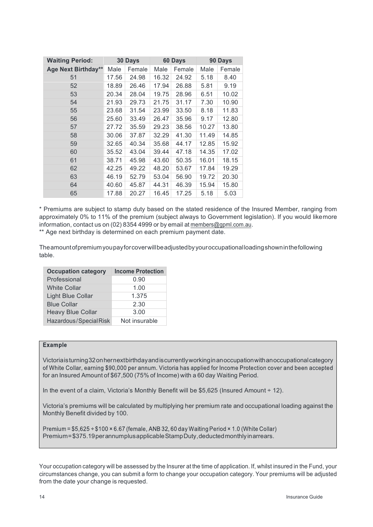| <b>Waiting Period:</b> | 30 Days |        | 60 Days |        | 90 Days |        |
|------------------------|---------|--------|---------|--------|---------|--------|
| Age Next Birthday**    | Male    | Female | Male    | Female | Male    | Female |
| 51                     | 17.56   | 24.98  | 16.32   | 24.92  | 5.18    | 8.40   |
| 52                     | 18.89   | 26.46  | 17.94   | 26.88  | 5.81    | 9.19   |
| 53                     | 20.34   | 28.04  | 19.75   | 28.96  | 6.51    | 10.02  |
| 54                     | 21.93   | 29.73  | 21.75   | 31.17  | 7.30    | 10.90  |
| 55                     | 23.68   | 31.54  | 23.99   | 33.50  | 8.18    | 11.83  |
| 56                     | 25.60   | 33.49  | 26.47   | 35.96  | 9.17    | 12.80  |
| 57                     | 27.72   | 35.59  | 29.23   | 38.56  | 10.27   | 13.80  |
| 58                     | 30.06   | 37.87  | 32.29   | 41.30  | 11.49   | 14.85  |
| 59                     | 32.65   | 40.34  | 35.68   | 44.17  | 12.85   | 15.92  |
| 60                     | 35.52   | 43.04  | 39.44   | 47.18  | 14.35   | 17.02  |
| 61                     | 38.71   | 45.98  | 43.60   | 50.35  | 16.01   | 18.15  |
| 62                     | 42.25   | 49.22  | 48.20   | 53.67  | 17.84   | 19.29  |
| 63                     | 46.19   | 52.79  | 53.04   | 56.90  | 19.72   | 20.30  |
| 64                     | 40.60   | 45.87  | 44.31   | 46.39  | 15.94   | 15.80  |
| 65                     | 17.88   | 20.27  | 16.45   | 17.25  | 5.18    | 5.03   |

\* Premiums are subject to stamp duty based on the stated residence of the Insured Member, ranging from approximately 0% to 11% of the premium (subject always to Government legislation). If you would likemore information, contact us on (02) 8354 4999 or by email at members@gpml.com.au.

\*\* Age next birthday is determined on each premium payment date.

Theamountofpremiumyoupayforcoverwillbeadjustedbyyouroccupationalloadingshowninthefollowing table.

| <b>Occupation category</b> | <b>Income Protection</b> |
|----------------------------|--------------------------|
| Professional               | 0.90                     |
| <b>White Collar</b>        | 1.00                     |
| <b>Light Blue Collar</b>   | 1.375                    |
| <b>Blue Collar</b>         | 2.30                     |
| <b>Heavy Blue Collar</b>   | 3.00                     |
| Hazardous/SpecialRisk      | Not insurable            |

## **Example**

Victoriaisturning32onhernextbirthdayandiscurrentlyworkinginanoccupationwithanoccupationalcategory of White Collar, earning \$90,000 per annum. Victoria has applied for Income Protection cover and been accepted for an Insured Amount of \$67,500 (75% of Income) with a 60 day Waiting Period.

In the event of a claim, Victoria's Monthly Benefit will be \$5,625 (Insured Amount ÷ 12).

Victoria's premiums will be calculated by multiplying her premium rate and occupational loading against the Monthly Benefit divided by 100.

Premium =  $$5.625 \div $100 \times 6.67$  (female, ANB 32, 60 day Waiting Period  $\times 1.0$  (White Collar) Premium=\$375.19perannumplusapplicableStampDuty,deductedmonthlyinarrears.

Your occupation category will be assessed by the Insurer at the time of application. If, whilst insured in the Fund, your circumstances change, you can submit a form to change your occupation category. Your premiums will be adjusted from the date your change is requested.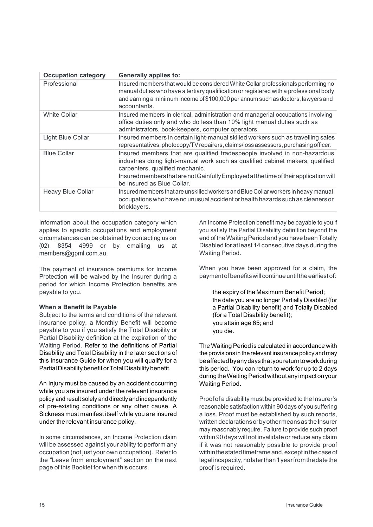| <b>Occupation category</b> | <b>Generally applies to:</b>                                                                                                                                                                                                                                                                                          |
|----------------------------|-----------------------------------------------------------------------------------------------------------------------------------------------------------------------------------------------------------------------------------------------------------------------------------------------------------------------|
| Professional               | Insured members that would be considered White Collar professionals performing no<br>manual duties who have a tertiary qualification or registered with a professional body<br>and earning a minimum income of \$100,000 per annum such as doctors, lawyers and<br>accountants.                                       |
| <b>White Collar</b>        | Insured members in clerical, administration and managerial occupations involving<br>office duties only and who do less than 10% light manual duties such as<br>administrators, book-keepers, computer operators.                                                                                                      |
| Light Blue Collar          | Insured members in certain light-manual skilled workers such as travelling sales<br>representatives, photocopy/TV repairers, claims/loss assessors, purchasing officer.                                                                                                                                               |
| <b>Blue Collar</b>         | Insured members that are qualified tradespeople involved in non-hazardous<br>industries doing light-manual work such as qualified cabinet makers, qualified<br>carpenters, qualified mechanic.<br>Insured members that are not Gainfully Employed at the time of their application will<br>be insured as Blue Collar. |
| <b>Heavy Blue Collar</b>   | Insured members that are unskilled workers and Blue Collar workers in heavy manual<br>occupations who have no unusual accident or health hazards such as cleaners or<br>bricklayers.                                                                                                                                  |

Information about the occupation category which applies to specific occupations and employment circumstances can be obtained by contacting us on (02) 8354 4999 or by emailing us at members@gpml.com.au.

The payment of insurance premiums for Income Protection will be waived by the Insurer during a period for which Income Protection benefits are payable to you.

### **When a Benefit is Payable**

Subject to the terms and conditions of the relevant insurance policy, a Monthly Benefit will become payable to you if you satisfy the Total Disability or Partial Disability definition at the expiration of the Waiting Period. Refer to the definitions of Partial Disability and Total Disability in the later sections of this Insurance Guide for when you will qualify for a Partial Disability benefit or Total Disability benefit.

An Injury must be caused by an accident occurring while you are insured under the relevant insurance policy and result solely and directly and independently of pre-existing conditions or any other cause. A Sickness must manifest itself while you are insured under the relevant insurance policy.

In some circumstances, an Income Protection claim will be assessed against your ability to perform any occupation (not just your own occupation). Refer to the "Leave from employment" section on the next page of this Booklet for when this occurs.

An Income Protection benefit may be payable to you if you satisfy the Partial Disability definition beyond the end of the Waiting Period and you have been Totally Disabled for at least 14 consecutive days during the Waiting Period.

When you have been approved for a claim, the payment of benefits will continue until the earliest of:

 the expiry of the Maximum Benefit Period; the date you are no longer Partially Disabled (for a Partial Disability benefit) and Totally Disabled (for a Total Disability benefit); you attain age 65; and you die.

The Waiting Period is calculated in accordance with the provisions in therelevant insurance policy andmay beaffectedbyanydaysthatyoureturntoworkduring this period. You can return to work for up to 2 days duringtheWaitingPeriodwithoutanyimpactonyour Waiting Period.

Proof of a disability must be provided to the Insurer's reasonable satisfaction within 90 days of you suffering a loss. Proof must be established by such reports, written declarations or by other means as the Insurer may reasonably require. Failure to provide such proof within 90 days will not invalidate or reduce any claim if it was not reasonably possible to provide proof within the stated timeframe and, except in the case of legalincapacity,nolaterthan1yearfromthedatethe proof is required.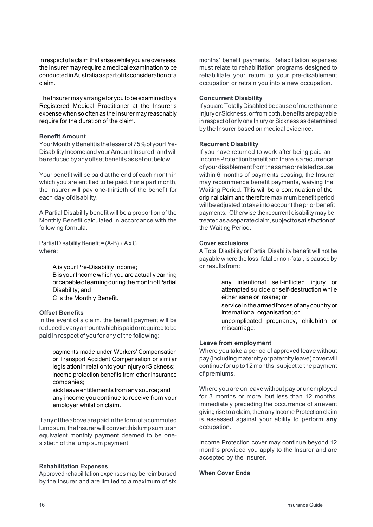Inrespectofa claim that ariseswhile you are overseas, the Insurer may require a medical examination to be conductedinAustraliaaspartofitsconsiderationofa claim.

The Insurer may arrange for you to be examined by a Registered Medical Practitioner at the Insurer's expense when so often as the Insurer may reasonably require for the duration of the claim.

## **Benefit Amount**

Your Monthly Benefit is the lesser of 75% of your Pre-Disability Income and yourAmount Insured, and will be reduced byanyoffset benefits as setoutbelow.

Your benefit will be paid at the end of each month in which you are entitled to be paid. For a part month, the Insurer will pay one-thirtieth of the benefit for each day ofdisability.

A Partial Disability benefit will be a proportion of the Monthly Benefit calculated in accordance with the following formula.

Partial Disability Benefit =  $(A-B) \div AxC$ where:

> A is your Pre-Disability Income; B is your Income which you are actually earning orcapableofearningduringthemonthofPartial Disability; and C is the Monthly Benefit.

## **Offset Benefits**

In the event of a claim, the benefit payment will be reducedbyanyamountwhichispaidorrequiredtobe paid in respect of you for any of the following:

 payments made under Workers' Compensation or Transport Accident Compensation or similar legislationinrelationtoyourInjuryorSickness; income protection benefits from other insurance companies;

 sick leave entitlements from any source; and any income you continue to receive from your employer whilst on claim.

Ifanyoftheabovearepaidintheformofacommuted lumpsum, the Insurer will convert this lump sum to an equivalent monthly payment deemed to be onesixtieth of the lump sum payment.

## **Rehabilitation Expenses**

Approved rehabilitation expenses may be reimbursed by the Insurer and are limited to a maximum of six months' benefit payments. Rehabilitation expenses must relate to rehabilitation programs designed to rehabilitate your return to your pre-disablement occupation or retrain you into a new occupation.

## **Concurrent Disability**

If youareTotallyDisabledbecauseofmorethanone InjuryorSickness,orfromboth,benefitsarepayable in respect of only one Injury or Sickness as determined by the Insurer based on medical evidence.

## **Recurrent Disability**

If you have returned to work after being paid an IncomeProtectionbenefitandthereisarecurrence ofyourdisablementfromthesameorrelatedcause within 6 months of payments ceasing, the Insurer may recommence benefit payments, waiving the Waiting Period. This will be a continuation of the original claim and therefore maximum benefit period will be adjusted to take into account the prior benefit payments. Otherwise the recurrent disability may be treatedasaseparateclaim,subjecttosatisfactionof the Waiting Period.

## **Cover exclusions**

A Total Disability or Partial Disability benefit will not be payable where the loss, fatal or non-fatal, is caused by or results from:

> any intentional self-inflicted injury or attempted suicide or self-destruction while either sane or insane; or

> service in the armed forces of any country or international organisation; or

 uncomplicated pregnancy, childbirth or miscarriage.

## **Leave from employment**

Where you take a period of approved leave without pay(includingmaternityorpaternityleave)coverwill continue for up to 12 months, subject to the payment of premiums.

Where you are on leave without pay or unemployed for 3 months or more, but less than 12 months, immediately preceding the occurrence of anevent giving rise to a claim, then any Income Protection claim is assessed against your ability to perform **any**  occupation.

Income Protection cover may continue beyond 12 months provided you apply to the Insurer and are accepted by the Insurer.

## **When Cover Ends**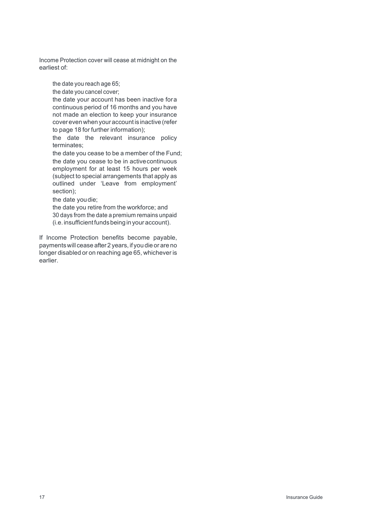Income Protection cover will cease at midnight on the earliest of:

the date you reach age 65;

the date you cancel cover;

 the date your account has been inactive fora continuous period of 16 months and you have not made an election to keep your insurance coverevenwhen your account is inactive (refer to page 18 for further information);

 the date the relevant insurance policy terminates;

 the date you cease to be a member of the Fund; the date you cease to be in activecontinuous employment for at least 15 hours per week (subject to special arrangements that apply as outlined under 'Leave from employment' section);

the date youdie;

 the date you retire from the workforce; and 30 days from the date a premium remains unpaid (i.e.insufficientfundsbeing in your account).

If Income Protection benefits become payable, paymentswill cease after 2 years, if you die or are no longer disabled or on reaching age 65, whichever is earlier.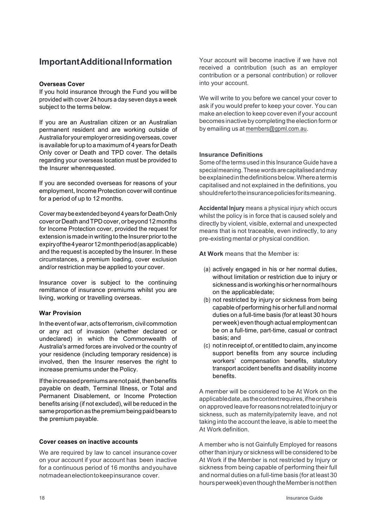## **ImportantAdditionalInformation**

## **Overseas Cover**

If you hold insurance through the Fund you will be provided with cover 24 hours a day seven days a week subject to the terms below.

If you are an Australian citizen or an Australian permanent resident and are working outside of Australiafor youremployer orresiding overseas, cover is available for up to a maximum of 4 years for Death Only cover or Death and TPD cover. The details regarding your overseas location must be provided to the Insurer whenrequested.

If you are seconded overseas for reasons of your employment, Income Protection cover will continue for a period of up to 12 months.

Cover may be extended beyond 4 years for DeathOnly coverorDeathandTPDcover,orbeyond12months for Income Protection cover, provided the request for extension is made in writing to the Insurer prior to the expiryofthe4yearor12monthperiod(asapplicable) and the request is accepted by the Insurer. In these circumstances, a premium loading, cover exclusion and/or restriction may be applied to your cover.

Insurance cover is subject to the continuing remittance of insurance premiums whilst you are living, working or travelling overseas.

## **War Provision**

Intheeventofwar, actsofterrorism, civil commotion or any act of invasion (whether declared or undeclared) in which the Commonwealth of Australia's armed forces are involved or the country of your residence (including temporary residence) is involved, then the Insurer reserves the right to increase premiums under the Policy.

If the increased premiums are not paid, then benefits payable on death, Terminal Illness, or Total and Permanent Disablement, or Income Protection benefits arising (if not excluded), will be reduced in the same proportion as the premium being paid bears to the premium payable.

## **Cover ceases on inactive accounts**

We are required by law to cancel insurance cover on your account if your account has been inactive for a continuous period of 16 months andyouhave notmadeanelectiontokeepinsurance cover.

Your account will become inactive if we have not received a contribution (such as an employer contribution or a personal contribution) or rollover into your account.

We will write to you before we cancel your cover to ask if you would prefer to keep your cover. You can make an election to keep cover even if your account becomes inactive by completing the election form or by emailing us at members@gpml.com.au.

## **Insurance Definitions**

Some of the terms used in this Insurance Guide have a specialmeaning.Thesewordsarecapitalisedandmay beexplainedinthedefinitionsbelow.Whereatermis capitalised and not explained in the definitions, you shouldrefertotheinsurancepoliciesforitsmeaning.

**Accidental Injury** means a physical injury which occurs whilst the policy is in force that is caused solely and directly by violent, visible, external and unexpected means that is not traceable, even indirectly, to any pre-existing mental or physical condition.

**At Work** means that the Member is:

- (a) actively engaged in his or her normal duties, without limitation or restriction due to injury or sicknessand isworking hisorher normalhours on the applicabledate;
- (b) not restricted by injury or sickness from being capable of performing his or herfull and normal duties on a full-time basis (for at least 30 hours per week) even though actual employment can be on a full-time, part-time, casual or contract basis; and
- (c) not in receipt of, or entitled to claim, any income support benefits from any source including workers' compensation benefits, statutory transport accident benefits and disability income benefits.

A member will be considered to be At Work on the applicabledate,asthecontextrequires,ifheorsheis on approved leave for reasons not related to injury or sickness, such as maternity/paternity leave, and not taking into the account the leave, is able to meet the At Work definition.

A member who is not Gainfully Employed for reasons other than injury or sickness will be considered to be At Work if the Member is not restricted by Injury or sickness from being capable of performing their full and normal duties on a full-time basis (for at least 30 hoursperweek)eventhoughtheMemberisnotthen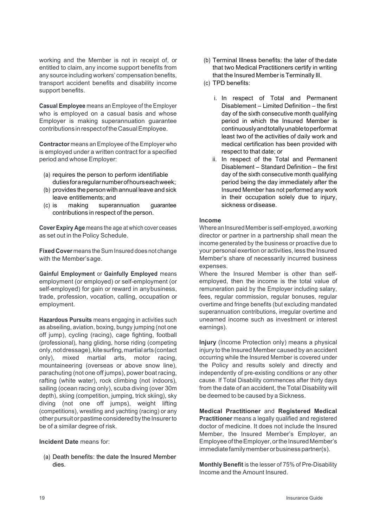working and the Member is not in receipt of, or entitled to claim, any income support benefits from any source including workers' compensation benefits, transport accident benefits and disability income support benefits.

**Casual Employee** means an Employee of the Employer who is employed on a casual basis and whose Employer is making superannuation guarantee contributions in respectoftheCasualEmployee.

**Contractor** means an Employee of the Employer who is employed under a written contract for a specified period and whose Employer:

- (a) requires the person to perform identifiable dutiesforaregularnumberofhourseachweek;
- (b) provides the person with annual leave and sick leave entitlements; and
- (c) is making superannuation guarantee contributions in respect of the person.

**Cover Expiry Age** means the age at which cover ceases as set out in the Policy Schedule.

**Fixed Cover** means the Sum Insured does not change with the Member'sage.

**Gainful Employment** or **Gainfully Employed** means employment (or employed) or self-employment (or self-employed) for gain or reward in anybusiness, trade, profession, vocation, calling, occupation or employment.

**Hazardous Pursuits** means engaging in activities such as abseiling, aviation, boxing, bungy jumping (not one off jump), cycling (racing), cage fighting, football (professional), hang gliding, horse riding (competing only, not dressage), kite surfing, martial arts (contact only), mixed martial arts, motor racing, mountaineering (overseas or above snow line), parachuting (not one off jumps), power boat racing, rafting (white water), rock climbing (not indoors), sailing (ocean racing only), scuba diving (over 30m depth), skiing (competition, jumping, trick skiing), sky diving (not one off jumps), weight lifting (competitions), wrestling and yachting (racing) or any other pursuit or pastime considered by the Insurer to be of a similar degree of risk.

## **Incident Date** means for:

(a) Death benefits: the date the Insured Member dies.

- (b) Terminal Illness benefits: the later of the date that two Medical Practitioners certify in writing that the Insured Member is Terminally Ill.
- (c) TPD benefits:
	- i. In respect of Total and Permanent Disablement – Limited Definition – the first day of the sixth consecutive month qualifying period in which the Insured Member is continuouslyandtotallyunabletoperformat least two of the activities of daily work and medical certification has been provided with respect to that date; or
	- ii. In respect of the Total and Permanent Disablement – Standard Definition – the first day of the sixth consecutive month qualifying period being the day immediately after the Insured Member has not performed any work in their occupation solely due to injury, sickness or disease.

### **Income**

Where an Insured Member is self-employed, a working director or partner in a partnership shall mean the income generated by the business or proactive due to your personal exertion or activities, less the Insured Member's share of necessarily incurred business expenses.

Where the Insured Member is other than selfemployed, then the income is the total value of remuneration paid by the Employer including salary, fees, regular commission, regular bonuses, regular overtime and fringe benefits (but excluding mandated superannuation contributions, irregular overtime and unearned income such as investment or interest earnings).

**Injury** (Income Protection only) means a physical injury to the Insured Member caused by an accident occurring while the Insured Member is covered under the Policy and results solely and directly and independently of pre-existing conditions or any other cause. If Total Disability commences after thirty days from the date of an accident, the Total Disability will be deemed to be caused by a Sickness.

**Medical Practitioner** and **Registered Medical Practitioner** means a legally qualified and registered doctor of medicine. It does not include the Insured Member, the Insured Member's Employer, an Employee of the Employer, or the Insured Member's immediate family member or business partner(s).

**Monthly Benefit** is the lesser of 75% of Pre-Disability Income and the Amount Insured.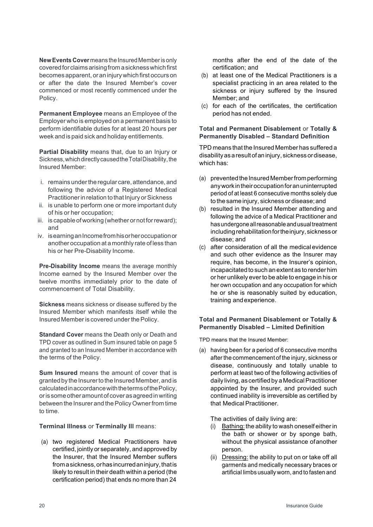**New Events Cover** means the Insured Member is only covered for claims arising from a sickness which first becomes apparent, or an injury which first occurs on or after the date the Insured Member's cover commenced or most recently commenced under the Policy.

**Permanent Employee** means an Employee of the Employer who is employed on a permanent basis to perform identifiable duties for at least 20 hours per week and is paid sick and holiday entitlements.

**Partial Disability** means that, due to an Injury or Sickness,whichdirectlycausedtheTotalDisability,the Insured Member:

- i. remains underthe regular care, attendance, and following the advice of a Registered Medical Practitioner in relation to that Injury or Sickness
- ii. is unable to perform one or more important duty of his or her occupation;
- iii. is capable of working (whether or not for reward); and
- iv. is earning an Income from his or her occupation or another occupation at amonthly rate of less than his or her Pre-Disability Income.

**Pre-Disability Income** means the average monthly Income earned by the Insured Member over the twelve months immediately prior to the date of commencement of Total Disability.

**Sickness** means sickness or disease suffered by the Insured Member which manifests itself while the Insured Member is covered under the Policy.

**Standard Cover** means the Death only or Death and TPD cover as outlined in Sum insured table on page 5 and granted to an Insured Member in accordance with the terms of the Policy.

**Sum Insured** means the amount of cover that is granted by the Insurer to the Insured Member, and is calculatedinaccordancewiththetermsofthePolicy, oris someotheramountof coverasagreedinwriting between the Insurer and the Policy Owner from time to time.

**Terminal Illness** or **Terminally Ill** means:

(a) two registered Medical Practitioners have certified, jointly or separately, and approved by the Insurer, that the Insured Member suffers fromasickness,orhasincurredaninjury,thatis likely to result in their death within a period (the certification period) that ends no more than 24

months after the end of the date of the certification; and

- (b) at least one of the Medical Practitioners is a specialist practicing in an area related to the sickness or injury suffered by the Insured Member; and
- (c) for each of the certificates, the certification period has not ended.

## **Total and Permanent Disablement** or **Totally & Permanently Disabled – Standard Definition**

TPD means that the Insured Member has suffered a disabilityasaresultofaninjury, sicknessordisease, which has:

- (a) prevented the Insured Member from performing anyworkintheiroccupationforanuninterrupted period of at least 6 consecutive months solely due to the same injury, sickness ordisease;and
- (b) resulted in the Insured Member attending and following the advice of a Medical Practitioner and hasundergone allreasonable andusualtreatment including rehabilitation for the injury, sickness or disease; and
- (c) after consideration of all the medical evidence and such other evidence as the Insurer may require, has become, in the Insurer's opinion, incapacitated to such an extent as to render him or her unlikely everto be able to engage in his or her own occupation and any occupation for which he or she is reasonably suited by education, training andexperience.

## **Total and Permanent Disablement or Totally & Permanently Disabled – Limited Definition**

TPD means that the Insured Member:

(a) having been for a period of 6 consecutive months after the commencement of the injury, sickness or disease, continuously and totally unable to perform at least two of the following activities of daily living, as certified by a Medical Practitioner appointed by the Insurer, and provided such continued inability is irreversible as certified by that Medical Practitioner.

The activities of daily living are:

- (i) Bathing: the ability to wash oneself either in the bath or shower or by sponge bath, without the physical assistance ofanother person.
- (ii) Dressing: the ability to put on or take off all garments and medically necessary braces or artificial limbs usually worn, and to fasten and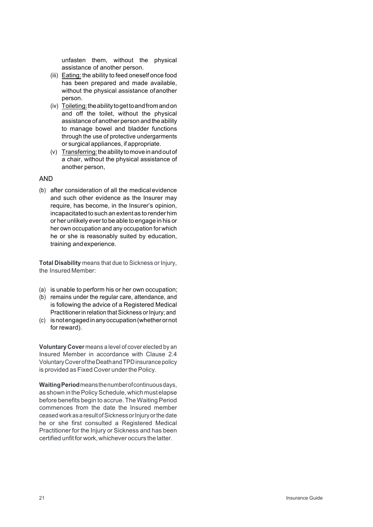unfasten them, without the physical assistance of another person.

- (iii) Eating: the ability to feed oneself once food has been prepared and made available, without the physical assistance ofanother person.
- (iv) Toileting: the ability to get to and from and on and off the toilet, without the physical assistance of another person and the ability to manage bowel and bladder functions through the use of protective undergarments or surgical appliances, if appropriate.
- (v) Transferring:theabilitytomoveinandoutof a chair, without the physical assistance of another person,

## AND

(b) after consideration of all the medical evidence and such other evidence as the Insurer may require, has become, in the Insurer's opinion, incapacitated to such an extentas to render him or her unlikely everto be able to engage in his or her own occupation and any occupation for which he or she is reasonably suited by education, training andexperience.

**Total Disability** means that due to Sickness or Injury, the Insured Member:

- (a) is unable to perform his or her own occupation;
- (b) remains under the regular care, attendance, and is following the advice of a Registered Medical Practitioner in relation that Sickness or Injury; and
- (c) isnotengagedinanyoccupation(whetherornot for reward).

**Voluntary Cover** means a level of cover elected by an Insured Member in accordance with Clause 2.4 VoluntaryCoveroftheDeathandTPDinsurancepolicy is provided as Fixed Cover under the Policy.

**WaitingPeriod**meansthenumberofcontinuousdays, as shown in the Policy Schedule, which must elapse before benefits begin to accrue. The Waiting Period commences from the date the Insured member ceased work as a result of Sickness or Injury or the date he or she first consulted a Registered Medical Practitioner for the Injury or Sickness and has been certified unfit for work, whichever occurs the latter.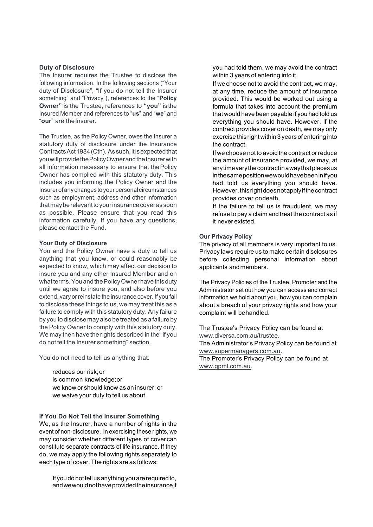### **Duty of Disclosure**

The Insurer requires the Trustee to disclose the following information. In the following sections ("Your duty of Disclosure", "If you do not tell the Insurer something" and "Privacy"), references to the "**Policy Owner"** is the Trustee, references to **"you"** is the Insured Member and references to "**us**" and "**we**" and "**our**" are theInsurer.

The Trustee, as the Policy Owner, owes the Insurer a statutory duty of disclosure under the Insurance ContractsAct1984(Cth). Assuch,itisexpectedthat you will provide the Policy Owner and the Insurer with all information necessary to ensure that thePolicy Owner has complied with this statutory duty. This includes you informing the Policy Owner and the Insurerofanychanges toyour personalcircumstances such as employment, address and other information thatmayberelevanttoyourinsurancecoverassoon as possible. Please ensure that you read this information carefully. If you have any questions, please contact the Fund.

#### **Your Duty of Disclosure**

You and the Policy Owner have a duty to tell us anything that you know, or could reasonably be expected to know, which may affect our decision to insure you and any other Insured Member and on what terms. You and the Policy Owner have this duty until we agree to insure you, and also before you extend, vary or reinstate the insurance cover. If you fail to disclose these things to us, we may treat this as a failure to comply with this statutory duty. Any failure by you to disclose may also be treated as a failure by the Policy Owner to comply with this statutory duty. We may then have the rights described in the "if you do not tell the Insurer something" section.

You do not need to tell us anything that:

 reduces our risk;or is common knowledge;or we know or should know as an insurer; or we waive your duty to tell us about.

#### **If You Do Not Tell the Insurer Something**

We, as the Insurer, have a number of rights in the event of non-disclosure. In exercising these rights, we may consider whether different types of cover can constitute separate contracts of life insurance. If they do, we may apply the following rights separately to each type of cover. The rights are as follows:

 If youdonottellusanythingyouarerequiredto, andwewouldnothaveprovidedtheinsuranceif you had told them, we may avoid the contract within 3 years of entering into it.

 If we choose not to avoid the contract, we may, at any time, reduce the amount of insurance provided. This would be worked out using a formula that takes into account the premium that would have been payable if you had told us everything you should have. However, if the contract provides cover on death, we may only exercise this rightwithin 3 years ofentering into the contract.

 If we choose not to avoid the contract orreduce the amount of insurance provided, we may, at anytimevarythecontractinawaythatplacesus inthesamepositionwewouldhavebeeninifyou had told us everything you should have. However,thisrightdoesnotapplyifthecontract provides cover ondeath.

 If the failure to tell us is fraudulent, we may refuse to pay a claim and treat the contract as if it never existed.

## **Our Privacy Policy**

The privacy of all members is very important to us. Privacy laws require us to make certain disclosures before collecting personal information about applicants andmembers.

The Privacy Policies of the Trustee, Promoter and the Administrator set out how you can access and correct information we hold about you, how you can complain about a breach of your privacy rights and how your complaint will behandled.

The Trustee's Privacy Policy can be found at www.diversa.com.au/trustee. The Administrator's Privacy Policy can be found at

www.supermanagers.com.au.

The Promoter's Privacy Policy can be found at www.gpml.com.au.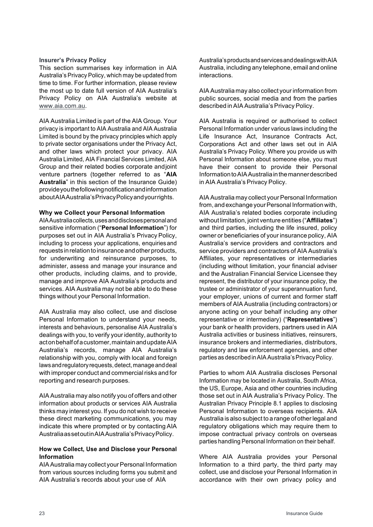#### **Insurer's Privacy Policy**

This section summarises key information in AIA Australia's Privacy Policy, which may be updated from time to time. For further information, please review the most up to date full version of AIA Australia's Privacy Policy on AIA Australia's website at www.aia.com.au.

AIA Australia Limited is part of the AIA Group. Your privacy is important to AIA Australia and AIA Australia Limited is bound by the privacy principles which apply to private sector organisations under the Privacy Act, and other laws which protect your privacy. AIA Australia Limited, AIA Financial Services Limited, AIA Group and their related bodies corporate andjoint venture partners (together referred to as "**AIA Australia**" in this section of the Insurance Guide) provideyouthefollowingnotificationandinformation aboutAIAAustralia'sPrivacyPolicyandyourrights.

## **Why we Collect your Personal Information**

AIAAustraliacollects,usesanddisclosespersonaland sensitive information ("**Personal Information**") for purposes set out in AIA Australia's Privacy Policy, including to process your applications, enquiriesand requests in relation to insurance and other products, for underwriting and reinsurance purposes, to administer, assess and manage your insurance and other products, including claims, and to provide, manage and improve AIA Australia's products and services. AIA Australia may not be able to do these things without your Personal Information.

AIA Australia may also collect, use and disclose Personal Information to understand your needs, interests and behaviours, personalise AIA Australia's dealings with you, to verify your identity, authority to actonbehalfofacustomer,maintainandupdateAIA Australia's records, manage AIA Australia's relationship with you, comply with local and foreign laws and regulatory requests, detect, manage and deal with improper conduct and commercial risks and for reporting and research purposes.

AIA Australia may also notify you of offers and other information about products or services AIA Australia thinks may interest you. If you do not wish to receive these direct marketing communications, you may indicate this where prompted or by contacting AIA AustraliaassetoutinAIAAustralia'sPrivacyPolicy.

## **How we Collect, Use and Disclose your Personal Information**

AIA Australia may collect your Personal Information from various sources including forms you submit and AIA Australia's records about your use of AIA

Australia'sproductsandservicesanddealingswithAIA Australia, including any telephone, email and online interactions.

AIA Australia may also collect yourinformation from public sources, social media and from the parties described in AIA Australia's Privacy Policy.

AIA Australia is required or authorised to collect Personal Information under various laws including the Life Insurance Act, Insurance Contracts Act, Corporations Act and other laws set out in AIA Australia's Privacy Policy. Where you provide us with Personal Information about someone else, you must have their consent to provide their Personal InformationtoAIAAustraliainthemannerdescribed in AIA Australia's Privacy Policy.

AIA Australia may collect your Personal Information from, and exchange your Personal Information with, AIA Australia's related bodies corporate including without limitation, joint venture entities ("**Affiliates**") and third parties, including the life insured, policy owner or beneficiaries of your insurance policy, AIA Australia's service providers and contractors and service providers and contractors of AIA Australia's Affiliates, your representatives or intermediaries (including without limitation, your financial adviser and the Australian Financial Service Licensee they represent, the distributor of your insurance policy, the trustee or administrator of your superannuation fund, your employer, unions of current and former staff members of AIA Australia (including contractors) or anyone acting on your behalf including any other representative or intermediary) ("**Representatives**") your bank or health providers, partners used in AIA Australia activities or business initiatives, reinsurers, insurance brokers and intermediaries, distributors, regulatory and law enforcement agencies, and other parties as described in AIA Australia's Privacy Policy.

Parties to whom AIA Australia discloses Personal Information may be located in Australia, South Africa, the US, Europe, Asia and other countries including those set out in AIA Australia's Privacy Policy. The Australian Privacy Principle 8.1 applies to disclosing Personal Information to overseas recipients. AIA Australia is also subject to a range of otherlegal and regulatory obligations which may require them to impose contractual privacy controls on overseas parties handling Personal Information on their behalf.

Where AIA Australia provides your Personal Information to a third party, the third party may collect, use and disclose your Personal Information in accordance with their own privacy policy and